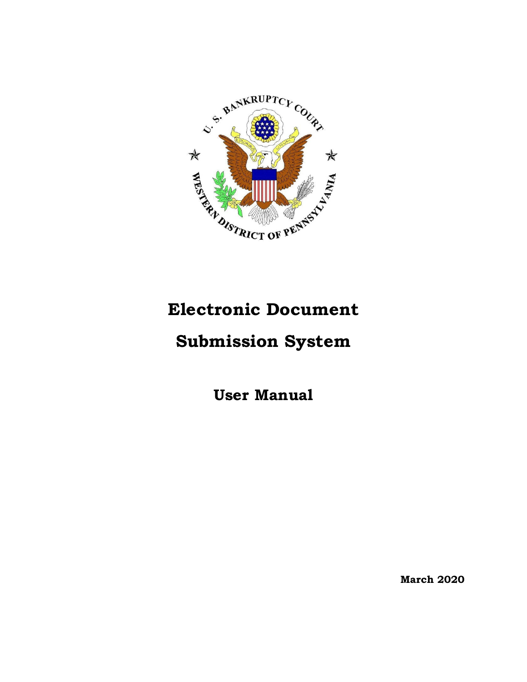

# **Electronic Document**

## **Submission System**

**User Manual** 

**March 2020**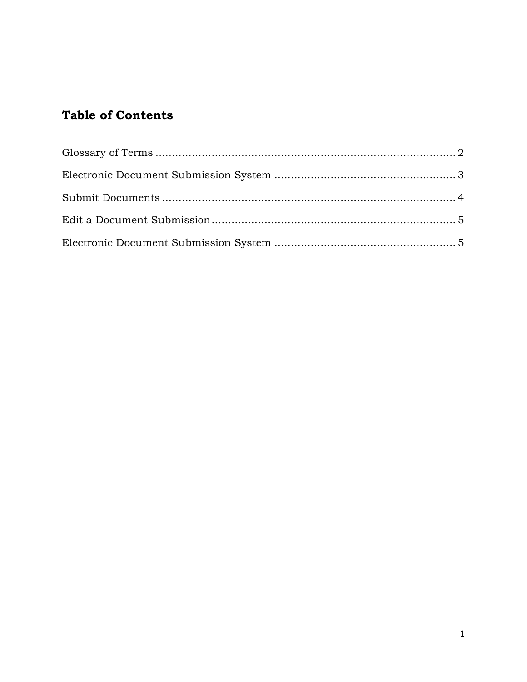### **Table of Contents**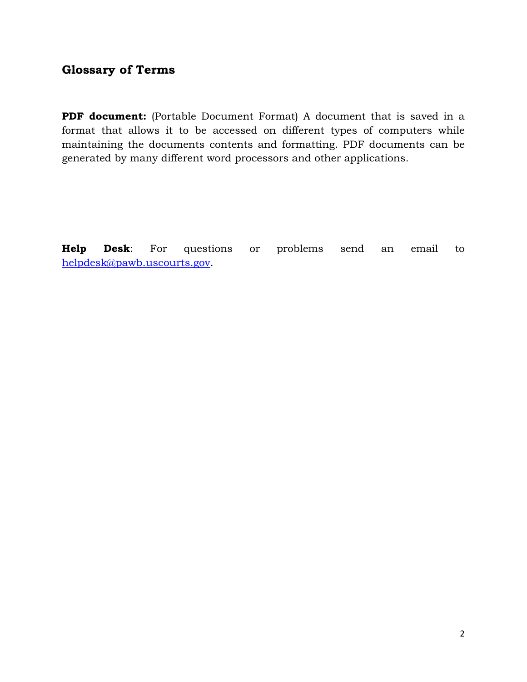#### <span id="page-2-0"></span>**Glossary of Terms**

**PDF document:** (Portable Document Format) A document that is saved in a format that allows it to be accessed on different types of computers while maintaining the documents contents and formatting. PDF documents can be generated by many different word processors and other applications.

**Help Desk**: For questions or problems send an email to [helpdesk@pawb.uscourts.gov.](mailto:helpdesk@pawb.uscourts.gov)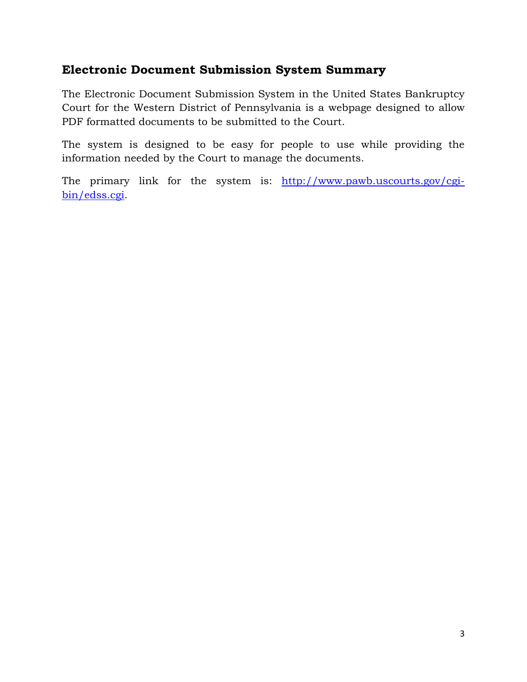### <span id="page-3-0"></span>**Electronic Document Submission System Summary**

The Electronic Document Submission System in the United States Bankruptcy Court for the Western District of Pennsylvania is a webpage designed to allow PDF formatted documents to be submitted to the Court.

The system is designed to be easy for people to use while providing the information needed by the Court to manage the documents.

The primary link for the system is: [http://www.pawb.uscourts.gov/cgi](http://www.pawb.uscourts.gov/cgi-bin/edss.cgi)[bin/edss.cgi.](http://www.pawb.uscourts.gov/cgi-bin/edss.cgi)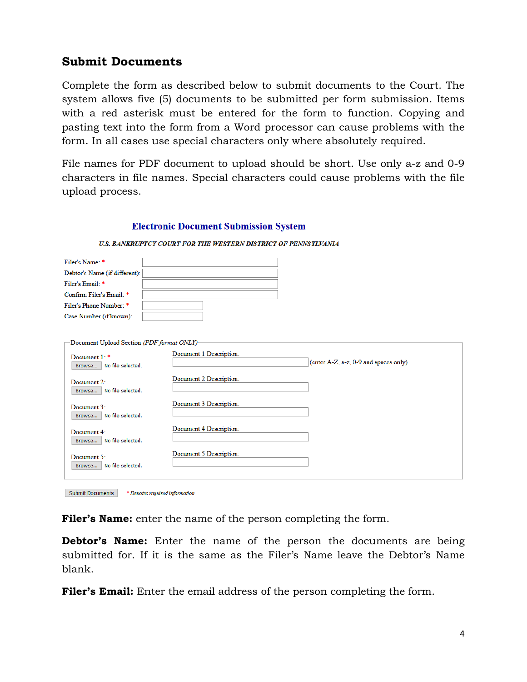#### <span id="page-4-0"></span>**Submit Documents**

Complete the form as described below to submit documents to the Court. The system allows five (5) documents to be submitted per form submission. Items with a red asterisk must be entered for the form to function. Copying and pasting text into the form from a Word processor can cause problems with the form. In all cases use special characters only where absolutely required.

File names for PDF document to upload should be short. Use only a-z and 0-9 characters in file names. Special characters could cause problems with the file upload process.

#### **Electronic Document Submission System** U.S. BANKRUPTCY COURT FOR THE WESTERN DISTRICT OF PENNSYLVANIA

| Filer's Name: *                             |                                                                  |
|---------------------------------------------|------------------------------------------------------------------|
| Debtor's Name (if different):               |                                                                  |
| Filer's Email: *                            |                                                                  |
| Confirm Filer's Email: *                    |                                                                  |
| Filer's Phone Number: *                     |                                                                  |
| Case Number (if known):                     |                                                                  |
| Document Upload Section (PDF format ONLY)-  |                                                                  |
| Document 1: *<br>Browse   No file selected. | Document 1 Description:<br>(enter A-Z, a-z, 0-9 and spaces only) |
| Document $22$                               | Document 2 Description:                                          |
| Browse   No file selected.                  |                                                                  |
| Document 3:<br>Browse   No file selected.   | Document 3 Description:                                          |
| Document 4:<br>Browse   No file selected.   | Document 4 Description:                                          |
| Document 5:<br>Browse   No file selected.   | Document 5 Description:                                          |
|                                             |                                                                  |

Submit Documents \* Denotes required information

**Filer's Name:** enter the name of the person completing the form.

**Debtor's Name:** Enter the name of the person the documents are being submitted for. If it is the same as the Filer's Name leave the Debtor's Name blank.

**Filer's Email:** Enter the email address of the person completing the form.